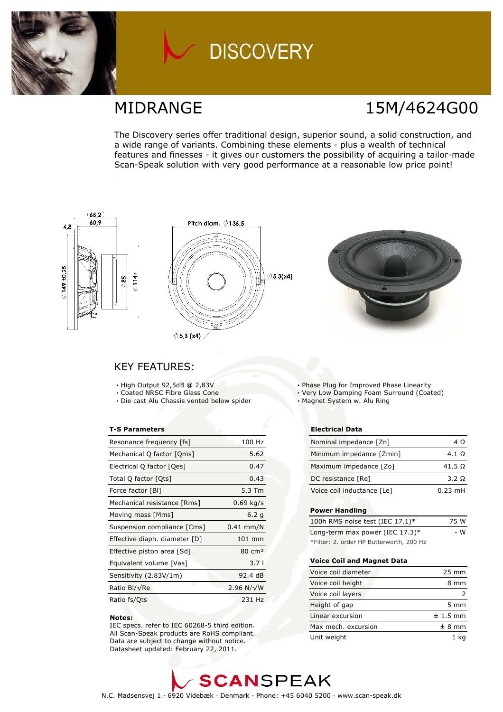

# **DISCOVERY**

## **MIDRANGE**

# 15M/4624G00

The Discovery series offer traditional design, superior sound, a solid construction, and a wide range of variants. Combining these elements - plus a wealth of technical features and finesses - it gives our customers the possibility of acquiring a tailor-made Scan-Speak solution with very good performance at a reasonable low price point!



### **KEY FEATURES:**

- · High Output 92,5dB @ 2,83V
- Coated NRSC Fibre Glass Cone
- · Die cast Alu Chassis vented below spider

#### **T-S Parameters**

| Resonance frequency [fs]      | 100 Hz             |
|-------------------------------|--------------------|
| Mechanical Q factor [Qms]     | 5.62               |
| Electrical Q factor [Qes]     | 0.47               |
| Total Q factor [Ots]          | 0.43               |
| Force factor [BI]             | 5.3 Tm             |
| Mechanical resistance [Rms]   | $0.69$ kg/s        |
| Moving mass [Mms]             | 6.2 <sub>q</sub>   |
| Suspension compliance [Cms]   | $0.41$ mm/N        |
| Effective diaph. diameter [D] | $101$ mm           |
| Effective piston area [Sd]    | $80 \text{ cm}^2$  |
| Equivalent volume [Vas]       | 3.71               |
| Sensitivity (2.83V/1m)        | 92.4dB             |
| Ratio Bl/√Re                  | 2.96 N/ $\sqrt{W}$ |
| Ratio fs/Ots                  | 231 Hz             |

#### Notes:

IEC specs. refer to IEC 60268-5 third edition. All Scan-Speak products are RoHS compliant. Data are subject to change without notice. Datasheet updated: February 22, 2011.

- . Phase Plug for Improved Phase Linearity
- · Very Low Damping Foam Surround (Coated)
- · Magnet System w. Alu Ring

#### **Electrical Data**

| Nominal impedance [Zn]     | 4 O               |
|----------------------------|-------------------|
| Minimum impedance [Zmin]   | 4.1 Q             |
| Maximum impedance [Zo]     | 41.5 $\Omega$     |
| DC resistance [Re]         | 3.2 Q             |
| Voice coil inductance [Le] | $0.23 \text{ mH}$ |

#### **Power Handling**

| 100h RMS noise test (IEC $17.1$ )*       | 75 W |
|------------------------------------------|------|
| Long-term max power (IEC $17.3$ )*       | - W  |
| *Filter: 2. order HP Butterworth, 200 Hz |      |

#### **Voice Coil and Magnet Data**

| Voice coil diameter | $25 \text{ mm}$  |
|---------------------|------------------|
| Voice coil height   | 8 mm             |
| Voice coil layers   |                  |
| Height of gap       | $5 \, \text{mm}$ |
| Linear excursion    | $± 1.5$ mm       |
| Max mech. excursion | ± 8 mm           |
| Unit weight         | 1 ka             |